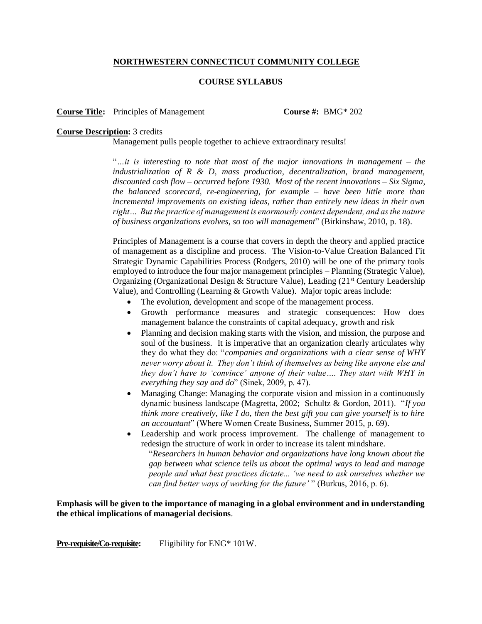# **NORTHWESTERN CONNECTICUT COMMUNITY COLLEGE**

### **COURSE SYLLABUS**

**Course Title:** Principles of Management **Course #:** BMG\* 202

#### **Course Description:** 3 credits

Management pulls people together to achieve extraordinary results!

"*…it is interesting to note that most of the major innovations in management – the industrialization of R & D, mass production, decentralization, brand management, discounted cash flow – occurred before 1930. Most of the recent innovations – Six Sigma, the balanced scorecard, re-engineering, for example – have been little more than incremental improvements on existing ideas, rather than entirely new ideas in their own right… But the practice of management is enormously context dependent, and as the nature of business organizations evolves, so too will management*" (Birkinshaw, 2010, p. 18).

Principles of Management is a course that covers in depth the theory and applied practice of management as a discipline and process. The Vision-to-Value Creation Balanced Fit Strategic Dynamic Capabilities Process (Rodgers, 2010) will be one of the primary tools employed to introduce the four major management principles – Planning (Strategic Value), Organizing (Organizational Design & Structure Value), Leading (21<sup>st</sup> Century Leadership Value), and Controlling (Learning & Growth Value). Major topic areas include:

- The evolution, development and scope of the management process.
- Growth performance measures and strategic consequences: How does management balance the constraints of capital adequacy, growth and risk
- Planning and decision making starts with the vision, and mission, the purpose and soul of the business. It is imperative that an organization clearly articulates why they do what they do: "*companies and organizations with a clear sense of WHY never worry about it. They don't think of themselves as being like anyone else and they don't have to 'convince' anyone of their value…. They start with WHY in everything they say and do*" (Sinek, 2009, p. 47).
- Managing Change: Managing the corporate vision and mission in a continuously dynamic business landscape (Magretta, 2002; Schultz & Gordon, 2011). "*If you think more creatively, like I do, then the best gift you can give yourself is to hire an accountant*" (Where Women Create Business, Summer 2015, p. 69).
- Leadership and work process improvement. The challenge of management to redesign the structure of work in order to increase its talent mindshare.

"*Researchers in human behavior and organizations have long known about the gap between what science tells us about the optimal ways to lead and manage people and what best practices dictate... 'we need to ask ourselves whether we can find better ways of working for the future'* " (Burkus, 2016, p. 6).

**Emphasis will be given to the importance of managing in a global environment and in understanding the ethical implications of managerial decisions**.

**Pre-requisite/Co-requisite:** Eligibility for ENG\* 101W.